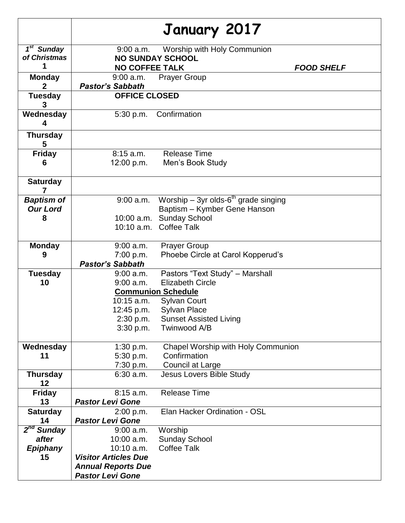|                        | January 2017                |                                           |  |
|------------------------|-----------------------------|-------------------------------------------|--|
| 1 <sup>st</sup> Sunday | $9:00$ a.m.                 | Worship with Holy Communion               |  |
| of Christmas           | <b>NO SUNDAY SCHOOL</b>     |                                           |  |
| 1                      | <b>NO COFFEE TALK</b>       | <b>FOOD SHELF</b>                         |  |
| <b>Monday</b>          | $9:00$ a.m.                 | <b>Prayer Group</b>                       |  |
| $\mathbf{2}$           | <b>Pastor's Sabbath</b>     |                                           |  |
| <b>Tuesday</b>         | <b>OFFICE CLOSED</b>        |                                           |  |
| Wednesday<br>4         | 5:30 p.m.                   | Confirmation                              |  |
| <b>Thursday</b><br>5   |                             |                                           |  |
| <b>Friday</b>          | $8:15$ a.m.                 | <b>Release Time</b>                       |  |
| 6                      | 12:00 p.m.                  | Men's Book Study                          |  |
|                        |                             |                                           |  |
| <b>Saturday</b><br>7   |                             |                                           |  |
| <b>Baptism of</b>      | $9:00$ a.m.                 | Worship – 3yr olds- $6th$ grade singing   |  |
| <b>Our Lord</b>        |                             | Baptism - Kymber Gene Hanson              |  |
| 8                      |                             | 10:00 a.m. Sunday School                  |  |
|                        |                             | 10:10 a.m. Coffee Talk                    |  |
| <b>Monday</b>          | $9:00$ a.m.                 | <b>Prayer Group</b>                       |  |
| 9                      | 7:00 p.m.                   | Phoebe Circle at Carol Kopperud's         |  |
|                        | <b>Pastor's Sabbath</b>     |                                           |  |
| <b>Tuesday</b>         | 9:00 a.m.                   | Pastors "Text Study" - Marshall           |  |
| 10                     | 9:00 a.m.                   | <b>Elizabeth Circle</b>                   |  |
|                        | <b>Communion Schedule</b>   |                                           |  |
|                        | 10:15 a.m.                  | <b>Sylvan Court</b>                       |  |
|                        | 12:45 p.m.                  | <b>Sylvan Place</b>                       |  |
|                        | 2:30 p.m.                   | <b>Sunset Assisted Living</b>             |  |
|                        | 3:30 p.m.                   | Twinwood A/B                              |  |
| Wednesday              | 1:30 p.m.                   | <b>Chapel Worship with Holy Communion</b> |  |
| 11                     | 5:30 p.m.                   | Confirmation                              |  |
|                        | 7:30 p.m.                   | Council at Large                          |  |
| <b>Thursday</b><br>12  | $6:30$ a.m.                 | <b>Jesus Lovers Bible Study</b>           |  |
| <b>Friday</b>          | $8:15$ a.m.                 | <b>Release Time</b>                       |  |
| 13                     | <b>Pastor Levi Gone</b>     |                                           |  |
| <b>Saturday</b>        | 2:00 p.m.                   | Elan Hacker Ordination - OSL              |  |
| 14                     | <b>Pastor Levi Gone</b>     |                                           |  |
| 2 <sup>nd</sup> Sunday | $9:00$ a.m.                 | Worship                                   |  |
| after                  | 10:00 a.m.                  | <b>Sunday School</b>                      |  |
| <b>Epiphany</b>        | 10:10 a.m.                  | <b>Coffee Talk</b>                        |  |
| 15                     | <b>Visitor Articles Due</b> |                                           |  |
|                        | <b>Annual Reports Due</b>   |                                           |  |
|                        | <b>Pastor Levi Gone</b>     |                                           |  |